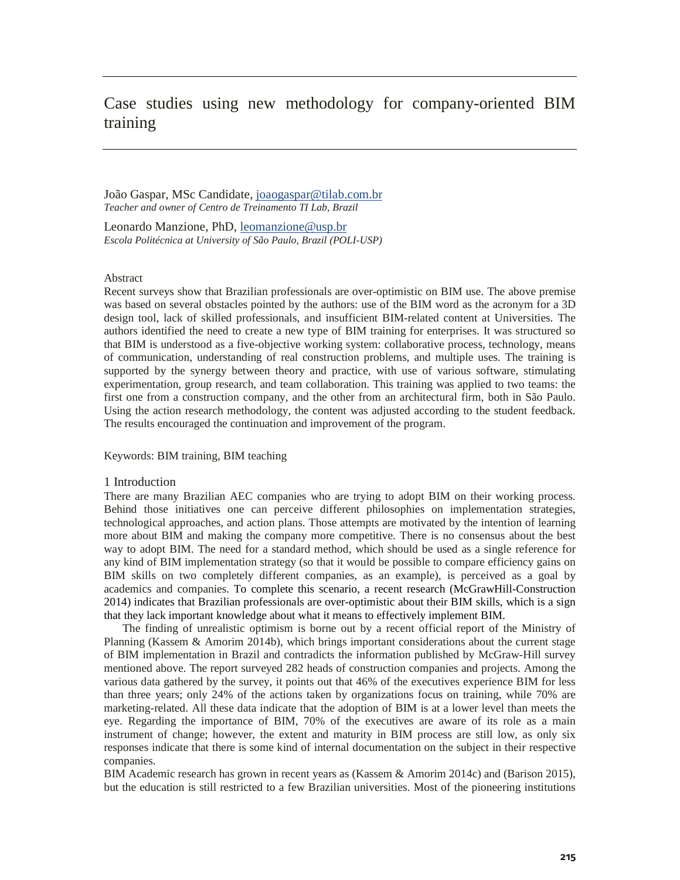# Case studies using new methodology for company-oriented BIM training

João Gaspar, MSc Candidate, joaogaspar@tilab.com.br *Teacher and owner of Centro de Treinamento TI Lab, Brazil*

Leonardo Manzione, PhD, leomanzione@usp.br *Escola Politécnica at University of São Paulo, Brazil (POLI-USP)*

## **Abstract**

Recent surveys show that Brazilian professionals are over-optimistic on BIM use. The above premise was based on several obstacles pointed by the authors: use of the BIM word as the acronym for a 3D design tool, lack of skilled professionals, and insufficient BIM-related content at Universities. The authors identified the need to create a new type of BIM training for enterprises. It was structured so that BIM is understood as a five-objective working system: collaborative process, technology, means of communication, understanding of real construction problems, and multiple uses. The training is supported by the synergy between theory and practice, with use of various software, stimulating experimentation, group research, and team collaboration. This training was applied to two teams: the first one from a construction company, and the other from an architectural firm, both in São Paulo. Using the action research methodology, the content was adjusted according to the student feedback. The results encouraged the continuation and improvement of the program.

### Keywords: BIM training, BIM teaching

## 1 Introduction

There are many Brazilian AEC companies who are trying to adopt BIM on their working process. Behind those initiatives one can perceive different philosophies on implementation strategies, technological approaches, and action plans. Those attempts are motivated by the intention of learning more about BIM and making the company more competitive. There is no consensus about the best way to adopt BIM. The need for a standard method, which should be used as a single reference for any kind of BIM implementation strategy (so that it would be possible to compare efficiency gains on BIM skills on two completely different companies, as an example), is perceived as a goal by academics and companies. To complete this scenario, a recent research (McGrawHill-Construction 2014) indicates that Brazilian professionals are over-optimistic about their BIM skills, which is a sign that they lack important knowledge about what it means to effectively implement BIM.

The finding of unrealistic optimism is borne out by a recent official report of the Ministry of Planning (Kassem & Amorim 2014b), which brings important considerations about the current stage of BIM implementation in Brazil and contradicts the information published by McGraw-Hill survey mentioned above. The report surveyed 282 heads of construction companies and projects. Among the various data gathered by the survey, it points out that 46% of the executives experience BIM for less than three years; only 24% of the actions taken by organizations focus on training, while 70% are marketing-related. All these data indicate that the adoption of BIM is at a lower level than meets the eye. Regarding the importance of BIM, 70% of the executives are aware of its role as a main instrument of change; however, the extent and maturity in BIM process are still low, as only six responses indicate that there is some kind of internal documentation on the subject in their respective companies.

BIM Academic research has grown in recent years as (Kassem & Amorim 2014c) and (Barison 2015), but the education is still restricted to a few Brazilian universities. Most of the pioneering institutions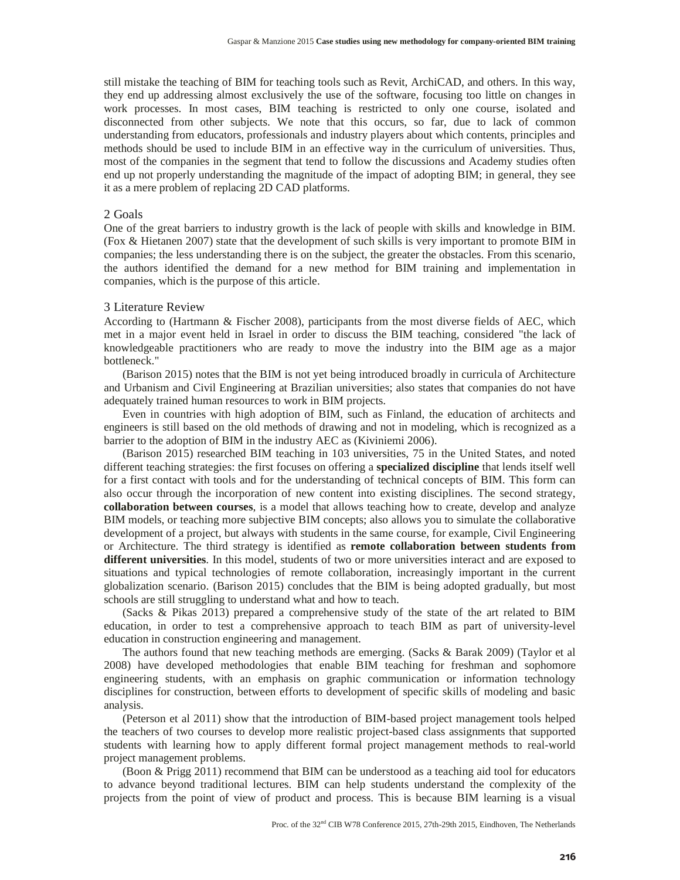still mistake the teaching of BIM for teaching tools such as Revit, ArchiCAD, and others. In this way, they end up addressing almost exclusively the use of the software, focusing too little on changes in work processes. In most cases, BIM teaching is restricted to only one course, isolated and disconnected from other subjects. We note that this occurs, so far, due to lack of common understanding from educators, professionals and industry players about which contents, principles and methods should be used to include BIM in an effective way in the curriculum of universities. Thus, most of the companies in the segment that tend to follow the discussions and Academy studies often end up not properly understanding the magnitude of the impact of adopting BIM; in general, they see it as a mere problem of replacing 2D CAD platforms.

## 2 Goals

One of the great barriers to industry growth is the lack of people with skills and knowledge in BIM. (Fox & Hietanen 2007) state that the development of such skills is very important to promote BIM in companies; the less understanding there is on the subject, the greater the obstacles. From this scenario, the authors identified the demand for a new method for BIM training and implementation in companies, which is the purpose of this article.

## 3 Literature Review

According to (Hartmann & Fischer 2008), participants from the most diverse fields of AEC, which met in a major event held in Israel in order to discuss the BIM teaching, considered "the lack of knowledgeable practitioners who are ready to move the industry into the BIM age as a major bottleneck."

(Barison 2015) notes that the BIM is not yet being introduced broadly in curricula of Architecture and Urbanism and Civil Engineering at Brazilian universities; also states that companies do not have adequately trained human resources to work in BIM projects.

Even in countries with high adoption of BIM, such as Finland, the education of architects and engineers is still based on the old methods of drawing and not in modeling, which is recognized as a barrier to the adoption of BIM in the industry AEC as (Kiviniemi 2006).

(Barison 2015) researched BIM teaching in 103 universities, 75 in the United States, and noted different teaching strategies: the first focuses on offering a **specialized discipline** that lends itself well for a first contact with tools and for the understanding of technical concepts of BIM. This form can also occur through the incorporation of new content into existing disciplines. The second strategy, **collaboration between courses**, is a model that allows teaching how to create, develop and analyze BIM models, or teaching more subjective BIM concepts; also allows you to simulate the collaborative development of a project, but always with students in the same course, for example, Civil Engineering or Architecture. The third strategy is identified as **remote collaboration between students from different universities**. In this model, students of two or more universities interact and are exposed to situations and typical technologies of remote collaboration, increasingly important in the current globalization scenario. (Barison 2015) concludes that the BIM is being adopted gradually, but most schools are still struggling to understand what and how to teach.

(Sacks & Pikas 2013) prepared a comprehensive study of the state of the art related to BIM education, in order to test a comprehensive approach to teach BIM as part of university-level education in construction engineering and management.

The authors found that new teaching methods are emerging. (Sacks & Barak 2009) (Taylor et al 2008) have developed methodologies that enable BIM teaching for freshman and sophomore engineering students, with an emphasis on graphic communication or information technology disciplines for construction, between efforts to development of specific skills of modeling and basic analysis.

(Peterson et al 2011) show that the introduction of BIM-based project management tools helped the teachers of two courses to develop more realistic project-based class assignments that supported students with learning how to apply different formal project management methods to real-world project management problems.

(Boon & Prigg 2011) recommend that BIM can be understood as a teaching aid tool for educators to advance beyond traditional lectures. BIM can help students understand the complexity of the projects from the point of view of product and process. This is because BIM learning is a visual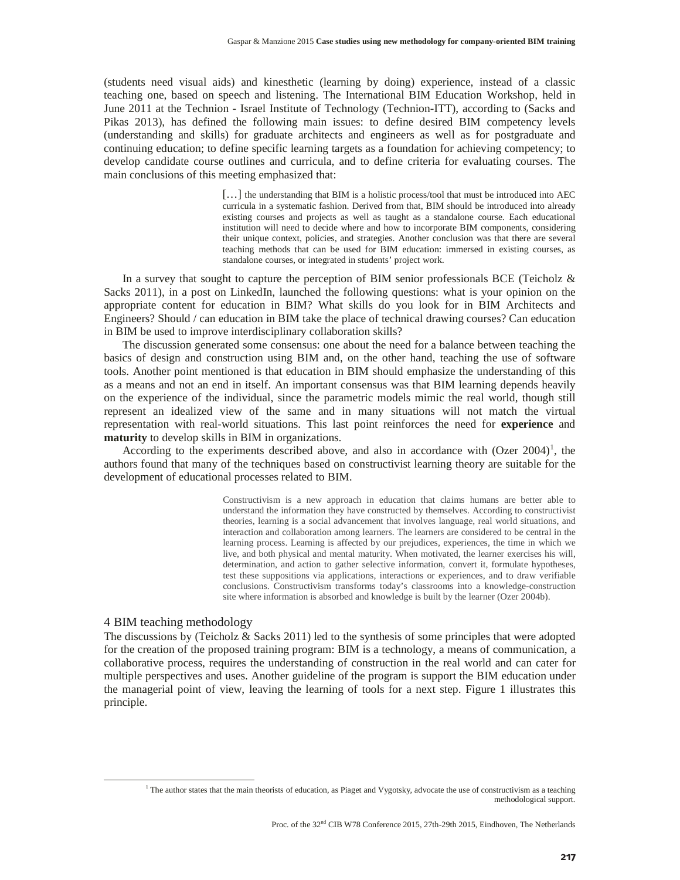(students need visual aids) and kinesthetic (learning by doing) experience, instead of a classic teaching one, based on speech and listening. The International BIM Education Workshop, held in June 2011 at the Technion - Israel Institute of Technology (Technion-ITT), according to (Sacks and Pikas 2013), has defined the following main issues: to define desired BIM competency levels (understanding and skills) for graduate architects and engineers as well as for postgraduate and continuing education; to define specific learning targets as a foundation for achieving competency; to develop candidate course outlines and curricula, and to define criteria for evaluating courses. The main conclusions of this meeting emphasized that:

> [...] the understanding that BIM is a holistic process/tool that must be introduced into AEC curricula in a systematic fashion. Derived from that, BIM should be introduced into already existing courses and projects as well as taught as a standalone course. Each educational institution will need to decide where and how to incorporate BIM components, considering their unique context, policies, and strategies. Another conclusion was that there are several teaching methods that can be used for BIM education: immersed in existing courses, as standalone courses, or integrated in students' project work.

In a survey that sought to capture the perception of BIM senior professionals BCE (Teicholz  $\&$ Sacks 2011), in a post on LinkedIn, launched the following questions: what is your opinion on the appropriate content for education in BIM? What skills do you look for in BIM Architects and Engineers? Should / can education in BIM take the place of technical drawing courses? Can education in BIM be used to improve interdisciplinary collaboration skills?

The discussion generated some consensus: one about the need for a balance between teaching the basics of design and construction using BIM and, on the other hand, teaching the use of software tools. Another point mentioned is that education in BIM should emphasize the understanding of this as a means and not an end in itself. An important consensus was that BIM learning depends heavily on the experience of the individual, since the parametric models mimic the real world, though still represent an idealized view of the same and in many situations will not match the virtual representation with real-world situations. This last point reinforces the need for **experience** and **maturity** to develop skills in BIM in organizations.

According to the experiments described above, and also in accordance with  $(Ozer 2004)^1$ , the authors found that many of the techniques based on constructivist learning theory are suitable for the development of educational processes related to BIM.

> Constructivism is a new approach in education that claims humans are better able to understand the information they have constructed by themselves. According to constructivist theories, learning is a social advancement that involves language, real world situations, and interaction and collaboration among learners. The learners are considered to be central in the learning process. Learning is affected by our prejudices, experiences, the time in which we live, and both physical and mental maturity. When motivated, the learner exercises his will, determination, and action to gather selective information, convert it, formulate hypotheses, test these suppositions via applications, interactions or experiences, and to draw verifiable conclusions. Constructivism transforms today's classrooms into a knowledge-construction site where information is absorbed and knowledge is built by the learner (Ozer 2004b).

## 4 BIM teaching methodology

The discussions by (Teicholz & Sacks 2011) led to the synthesis of some principles that were adopted for the creation of the proposed training program: BIM is a technology, a means of communication, a collaborative process, requires the understanding of construction in the real world and can cater for multiple perspectives and uses. Another guideline of the program is support the BIM education under the managerial point of view, leaving the learning of tools for a next step. Figure 1 illustrates this principle.

<sup>&</sup>lt;sup>1</sup> The author states that the main theorists of education, as Piaget and Vygotsky, advocate the use of constructivism as a teaching methodological support.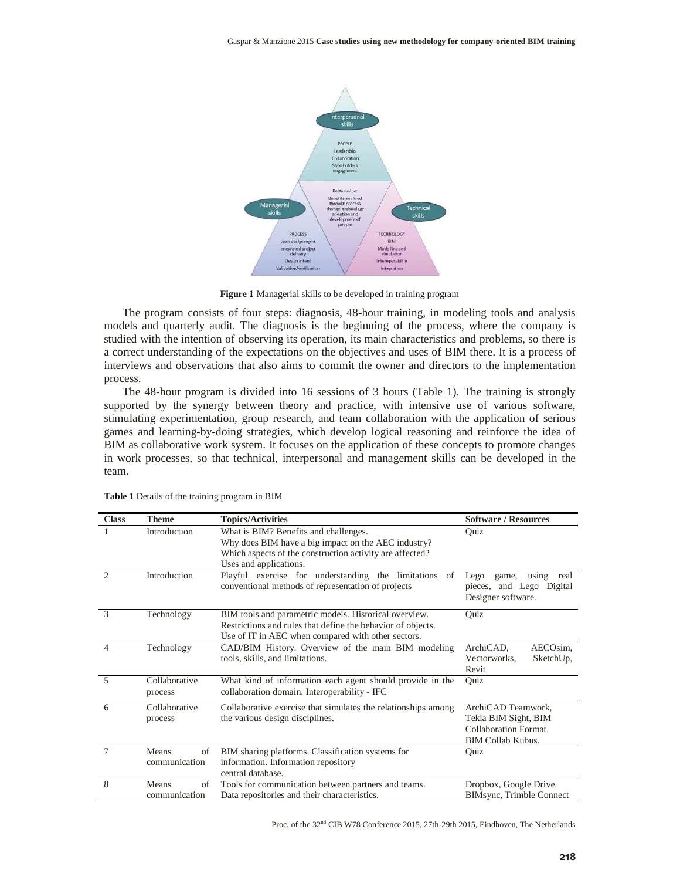

**Figure 1** Managerial skills to be developed in training program

The program consists of four steps: diagnosis, 48-hour training, in modeling tools and analysis models and quarterly audit. The diagnosis is the beginning of the process, where the company is studied with the intention of observing its operation, its main characteristics and problems, so there is a correct understanding of the expectations on the objectives and uses of BIM there. It is a process of interviews and observations that also aims to commit the owner and directors to the implementation process.

The 48-hour program is divided into 16 sessions of 3 hours (Table 1). The training is strongly supported by the synergy between theory and practice, with intensive use of various software, stimulating experimentation, group research, and team collaboration with the application of serious games and learning-by-doing strategies, which develop logical reasoning and reinforce the idea of BIM as collaborative work system. It focuses on the application of these concepts to promote changes in work processes, so that technical, interpersonal and management skills can be developed in the team.

| <b>Class</b>   | <b>Theme</b>                 | <b>Topics/Activities</b>                                                                                                                                                           | <b>Software / Resources</b>                                                                     |  |  |  |  |
|----------------|------------------------------|------------------------------------------------------------------------------------------------------------------------------------------------------------------------------------|-------------------------------------------------------------------------------------------------|--|--|--|--|
|                | Introduction                 | What is BIM? Benefits and challenges.<br>Why does BIM have a big impact on the AEC industry?<br>Which aspects of the construction activity are affected?<br>Uses and applications. | Ouiz                                                                                            |  |  |  |  |
| $\mathfrak{D}$ | Introduction                 | Playful exercise for understanding the limitations<br>of<br>conventional methods of representation of projects                                                                     | using<br>Lego<br>real<br>game,<br>pieces, and Lego Digital<br>Designer software.                |  |  |  |  |
| $\mathcal{R}$  | Technology                   | BIM tools and parametric models. Historical overview.<br>Restrictions and rules that define the behavior of objects.<br>Use of IT in AEC when compared with other sectors.         | Quiz                                                                                            |  |  |  |  |
| $\Delta$       | Technology                   | CAD/BIM History. Overview of the main BIM modeling<br>tools, skills, and limitations.                                                                                              | AECOsim,<br>ArchiCAD,<br>Vectorworks.<br>SketchUp,<br>Revit                                     |  |  |  |  |
| 5              | Collaborative<br>process     | What kind of information each agent should provide in the<br>collaboration domain. Interoperability - IFC                                                                          | Quiz                                                                                            |  |  |  |  |
| 6              | Collaborative<br>process     | Collaborative exercise that simulates the relationships among<br>the various design disciplines.                                                                                   | ArchiCAD Teamwork,<br>Tekla BIM Sight, BIM<br>Collaboration Format.<br><b>BIM Collab Kubus.</b> |  |  |  |  |
| $\overline{7}$ | Means<br>of<br>communication | BIM sharing platforms. Classification systems for<br>information. Information repository<br>central database.                                                                      | Quiz                                                                                            |  |  |  |  |
| 8              | Means<br>of<br>communication | Tools for communication between partners and teams.<br>Data repositories and their characteristics.                                                                                | Dropbox, Google Drive,<br>BIMsync, Trimble Connect                                              |  |  |  |  |

**Table 1** Details of the training program in BIM

Proc. of the 32<sup>nd</sup> CIB W78 Conference 2015, 27th-29th 2015, Eindhoven, The Netherlands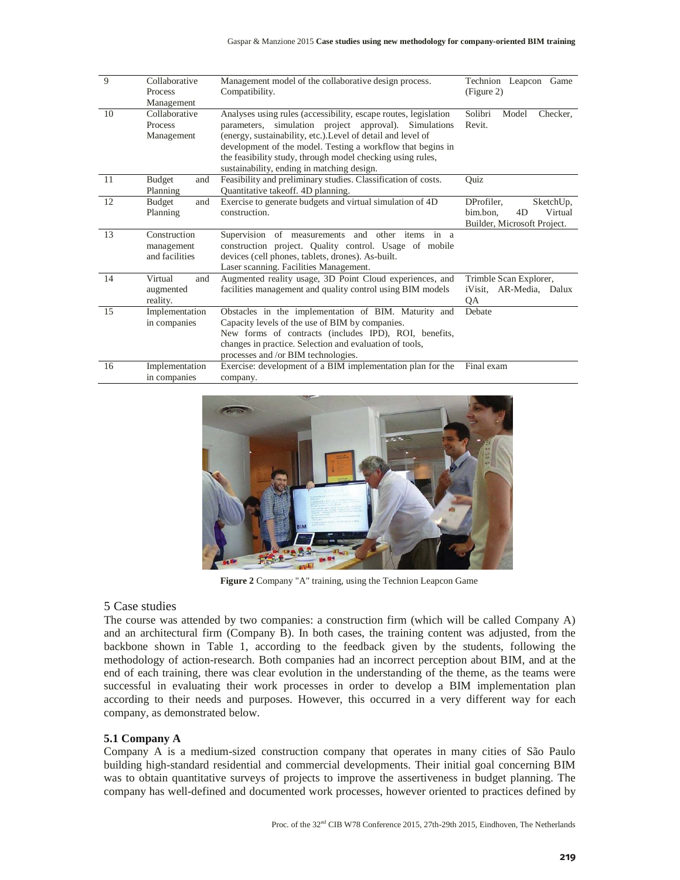| 9  | Collaborative<br>Process<br>Management        | Management model of the collaborative design process.<br>Compatibility.                                                                                                                                                                                                                                                                                             | Technion Leapcon<br>Game<br>(Figure 2)                                              |  |  |  |
|----|-----------------------------------------------|---------------------------------------------------------------------------------------------------------------------------------------------------------------------------------------------------------------------------------------------------------------------------------------------------------------------------------------------------------------------|-------------------------------------------------------------------------------------|--|--|--|
| 10 | Collaborative<br><b>Process</b><br>Management | Analyses using rules (accessibility, escape routes, legislation<br>parameters, simulation project approval). Simulations<br>(energy, sustainability, etc.). Level of detail and level of<br>development of the model. Testing a workflow that begins in<br>the feasibility study, through model checking using rules,<br>sustainability, ending in matching design. | Solibri<br>Model<br>Checker,<br>Revit.                                              |  |  |  |
| 11 | <b>Budget</b><br>and<br>Planning              | Feasibility and preliminary studies. Classification of costs.<br>Quantitative take off. 4D planning.                                                                                                                                                                                                                                                                | Quiz                                                                                |  |  |  |
| 12 | Budget<br>and<br>Planning                     | Exercise to generate budgets and virtual simulation of 4D<br>construction.                                                                                                                                                                                                                                                                                          | DProfiler.<br>SketchUp,<br>bim.bon.<br>Virtual<br>4D<br>Builder, Microsoft Project. |  |  |  |
| 13 | Construction<br>management<br>and facilities  | Supervision of measurements and other items<br>in a<br>construction project. Quality control. Usage of mobile<br>devices (cell phones, tablets, drones). As-built.<br>Laser scanning. Facilities Management.                                                                                                                                                        |                                                                                     |  |  |  |
| 14 | Virtual<br>and<br>augmented<br>reality.       | Augmented reality usage, 3D Point Cloud experiences, and<br>facilities management and quality control using BIM models                                                                                                                                                                                                                                              | Trimble Scan Explorer,<br>iVisit, AR-Media, Dalux<br><b>OA</b>                      |  |  |  |
| 15 | Implementation<br>in companies                | Obstacles in the implementation of BIM. Maturity and<br>Capacity levels of the use of BIM by companies.<br>New forms of contracts (includes IPD), ROI, benefits,<br>changes in practice. Selection and evaluation of tools,<br>processes and /or BIM technologies.                                                                                                  | Debate                                                                              |  |  |  |
| 16 | Implementation<br>in companies                | Exercise: development of a BIM implementation plan for the<br>company.                                                                                                                                                                                                                                                                                              | Final exam                                                                          |  |  |  |



**Figure 2** Company "A" training, using the Technion Leapcon Game

## 5 Case studies

The course was attended by two companies: a construction firm (which will be called Company A) and an architectural firm (Company B). In both cases, the training content was adjusted, from the backbone shown in Table 1, according to the feedback given by the students, following the methodology of action-research. Both companies had an incorrect perception about BIM, and at the end of each training, there was clear evolution in the understanding of the theme, as the teams were successful in evaluating their work processes in order to develop a BIM implementation plan according to their needs and purposes. However, this occurred in a very different way for each company, as demonstrated below.

## **5.1 Company A**

Company A is a medium-sized construction company that operates in many cities of São Paulo building high-standard residential and commercial developments. Their initial goal concerning BIM was to obtain quantitative surveys of projects to improve the assertiveness in budget planning. The company has well-defined and documented work processes, however oriented to practices defined by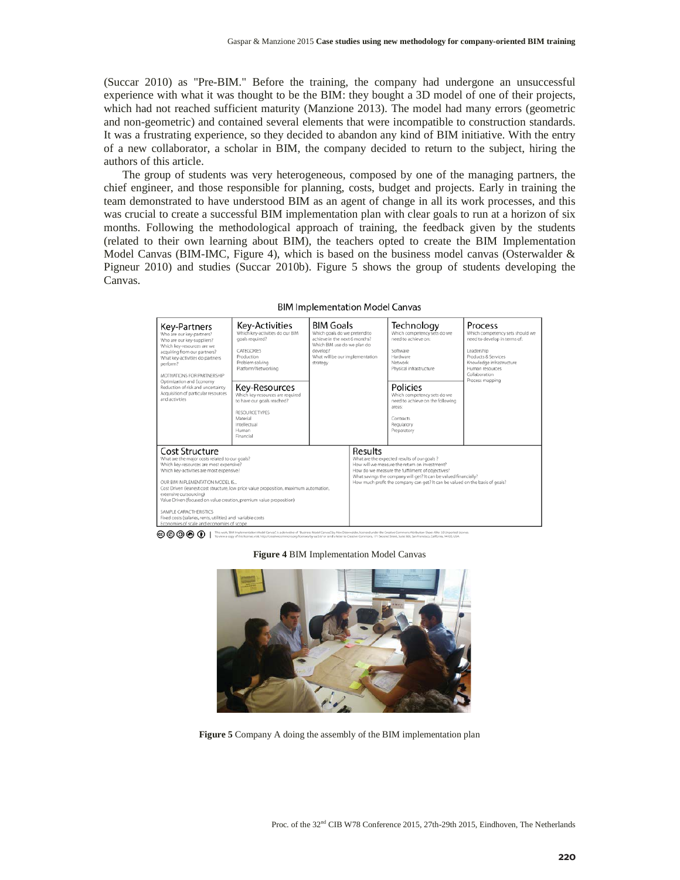(Succar 2010) as "Pre-BIM." Before the training, the company had undergone an unsuccessful experience with what it was thought to be the BIM: they bought a 3D model of one of their projects, which had not reached sufficient maturity (Manzione 2013). The model had many errors (geometric and non-geometric) and contained several elements that were incompatible to construction standards. It was a frustrating experience, so they decided to abandon any kind of BIM initiative. With the entry of a new collaborator, a scholar in BIM, the company decided to return to the subject, hiring the authors of this article.

The group of students was very heterogeneous, composed by one of the managing partners, the chief engineer, and those responsible for planning, costs, budget and projects. Early in training the team demonstrated to have understood BIM as an agent of change in all its work processes, and this was crucial to create a successful BIM implementation plan with clear goals to run at a horizon of six months. Following the methodological approach of training, the feedback given by the students (related to their own learning about BIM), the teachers opted to create the BIM Implementation Model Canvas (BIM-IMC, Figure 4), which is based on the business model canvas (Osterwalder  $\&$ Pigneur 2010) and studies (Succar 2010b). Figure 5 shows the group of students developing the Canvas.

**BIM Implementation Model Canvas** 



## **Figure 4** BIM Implementation Model Canvas



**Figure 5** Company A doing the assembly of the BIM implementation plan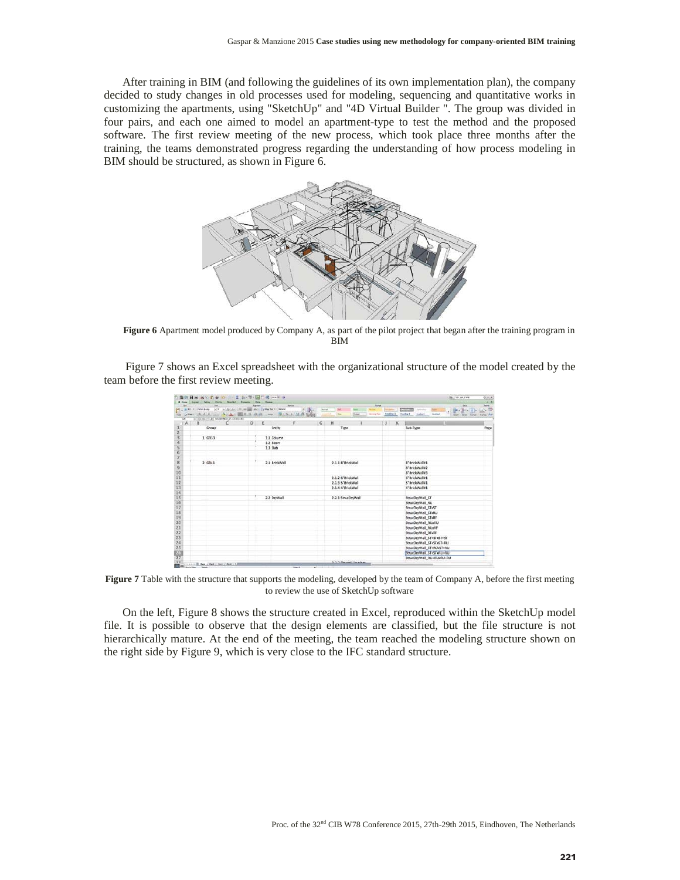After training in BIM (and following the guidelines of its own implementation plan), the company decided to study changes in old processes used for modeling, sequencing and quantitative works in customizing the apartments, using "SketchUp" and "4D Virtual Builder ". The group was divided in four pairs, and each one aimed to model an apartment-type to test the method and the proposed software. The first review meeting of the new process, which took place three months after the training, the teams demonstrated progress regarding the understanding of how process modeling in BIM should be structured, as shown in Figure 6.



**Figure 6** Apartment model produced by Company A, as part of the pilot project that began after the training program in BIM

Figure 7 shows an Excel spreadsheet with the organizational structure of the model created by the team before the first review meeting.

|                   |                                       | 图 01日米 美国 E 参 20-11-2-2-3-3- 国门 是 ma = 0                                                           |              |          |               |              |              |                   |                    |                                     |                    |                                                                | <b>Decision AP TYPE</b> |                               |
|-------------------|---------------------------------------|----------------------------------------------------------------------------------------------------|--------------|----------|---------------|--------------|--------------|-------------------|--------------------|-------------------------------------|--------------------|----------------------------------------------------------------|-------------------------|-------------------------------|
| <b>B</b> . Poster | <b>College Avenue College College</b> | <b>Clock</b>                                                                                       | Ligunan      |          | Series        |              |              |                   |                    | <b>Jones</b>                        |                    |                                                                |                         |                               |
|                   | A. R. P. Collections                  | (c)) is an ability of the same about the control of<br>Joer B.J. U. L. ACAS BUT BOOK  SIN A MA COM |              |          |               | $\mathbf{r}$ | $\sim$       | 34<br><b>Inco</b> | <b>Shripped</b>    | <b>Silver of</b><br><b>Ammy Tem</b> | Heading 2 Number 2 | <b>COLLEG</b><br><b>Latinska</b><br><b>Wolfrey F</b><br>make 6 | Dates.<br><b>Europe</b> | . <del>. .</del><br>house Air |
| L38               |                                       | 1.0.0.1. In freebytel M-1541-41                                                                    |              |          |               |              |              |                   |                    |                                     |                    |                                                                |                         |                               |
| A                 | $\mathbf{B}$                          | c                                                                                                  | $\mathbf{D}$ | E        |               | F            | $\mathsf{G}$ | H                 |                    |                                     | ж                  |                                                                |                         |                               |
|                   |                                       | Group                                                                                              |              |          | Entity        |              |              |                   | Type               |                                     |                    | Sub-Type                                                       |                         |                               |
|                   |                                       |                                                                                                    |              |          |               |              |              |                   |                    |                                     |                    |                                                                |                         |                               |
|                   |                                       | 1. GR33                                                                                            |              |          | 1.1 Column    |              |              |                   |                    |                                     |                    |                                                                |                         |                               |
|                   |                                       |                                                                                                    |              | 1.2 Beam |               |              |              |                   |                    |                                     |                    |                                                                |                         |                               |
|                   |                                       |                                                                                                    |              | 1.3 Slab |               |              |              |                   |                    |                                     |                    |                                                                |                         |                               |
|                   |                                       |                                                                                                    |              |          |               |              |              |                   |                    |                                     |                    |                                                                |                         |                               |
|                   |                                       |                                                                                                    |              |          |               |              |              |                   |                    |                                     |                    |                                                                |                         |                               |
|                   |                                       | 2. GR41                                                                                            |              |          | 2.1 BrickWall |              |              |                   | 2.1.1 8"BrickWall  |                                     |                    | 8"BrickWall#1                                                  |                         |                               |
|                   |                                       |                                                                                                    |              |          |               |              |              |                   |                    |                                     |                    | 8"BrickWall#2                                                  |                         |                               |
|                   |                                       |                                                                                                    |              |          |               |              |              |                   |                    |                                     |                    | 8"BrickWall#3                                                  |                         |                               |
|                   |                                       |                                                                                                    |              |          |               |              |              |                   | 2.1.2 6"BrickWall  |                                     |                    | 6"BrickWall#1                                                  |                         |                               |
|                   |                                       |                                                                                                    |              |          |               |              |              |                   | 2.1.3 5"BrickWall  |                                     |                    | 5"BrickWall#1                                                  |                         |                               |
|                   |                                       |                                                                                                    |              |          |               |              |              |                   | 2.1.4 4"BrickWall  |                                     |                    | 4"BrickWall#1                                                  |                         |                               |
|                   |                                       |                                                                                                    |              |          |               |              |              |                   |                    |                                     |                    |                                                                |                         |                               |
|                   |                                       |                                                                                                    |              |          | 2.2 DryWall   |              |              |                   | 2.2.1 StrucDryWall |                                     |                    | StrucDryWall ST                                                |                         |                               |
|                   |                                       |                                                                                                    |              |          |               |              |              |                   |                    |                                     |                    | StrucDryWall RU                                                |                         |                               |
|                   |                                       |                                                                                                    |              |          |               |              |              |                   |                    |                                     |                    | StrucDryWall STxST                                             |                         |                               |
|                   |                                       |                                                                                                    |              |          |               |              |              |                   |                    |                                     |                    | StrucDryWall_STxRU                                             |                         |                               |
|                   |                                       |                                                                                                    |              |          |               |              |              |                   |                    |                                     |                    | StrucDryWall STxRF                                             |                         |                               |
|                   |                                       |                                                                                                    |              |          |               |              |              |                   |                    |                                     |                    | StrucDryWall RUxRU                                             |                         |                               |
|                   |                                       |                                                                                                    |              |          |               |              |              |                   |                    |                                     |                    | StrucDryWall_RUxRF                                             |                         |                               |
|                   |                                       |                                                                                                    |              |          |               |              |              |                   |                    |                                     |                    | StrucDryWall_RFxRF                                             |                         |                               |
|                   |                                       |                                                                                                    |              |          |               |              |              |                   |                    |                                     |                    | StrucDryWall_ST+STxST+ST                                       |                         |                               |
|                   |                                       |                                                                                                    |              |          |               |              |              |                   |                    |                                     |                    | StrucDryWall_ST+STxST+RU                                       |                         |                               |
|                   |                                       |                                                                                                    |              |          |               |              |              |                   |                    |                                     |                    | StrucDryWall_ST+RUxST+RU                                       |                         |                               |
|                   |                                       |                                                                                                    |              |          |               |              |              |                   |                    |                                     |                    | StrucDryWall_ST+STxRU+RU                                       |                         |                               |
|                   |                                       |                                                                                                    |              |          |               |              |              |                   |                    |                                     |                    | StrucDryWall_RU+RUxRU+RU                                       |                         |                               |

**Figure 7** Table with the structure that supports the modeling, developed by the team of Company A, before the first meeting to review the use of SketchUp software

On the left, Figure 8 shows the structure created in Excel, reproduced within the SketchUp model file. It is possible to observe that the design elements are classified, but the file structure is not hierarchically mature. At the end of the meeting, the team reached the modeling structure shown on the right side by Figure 9, which is very close to the IFC standard structure.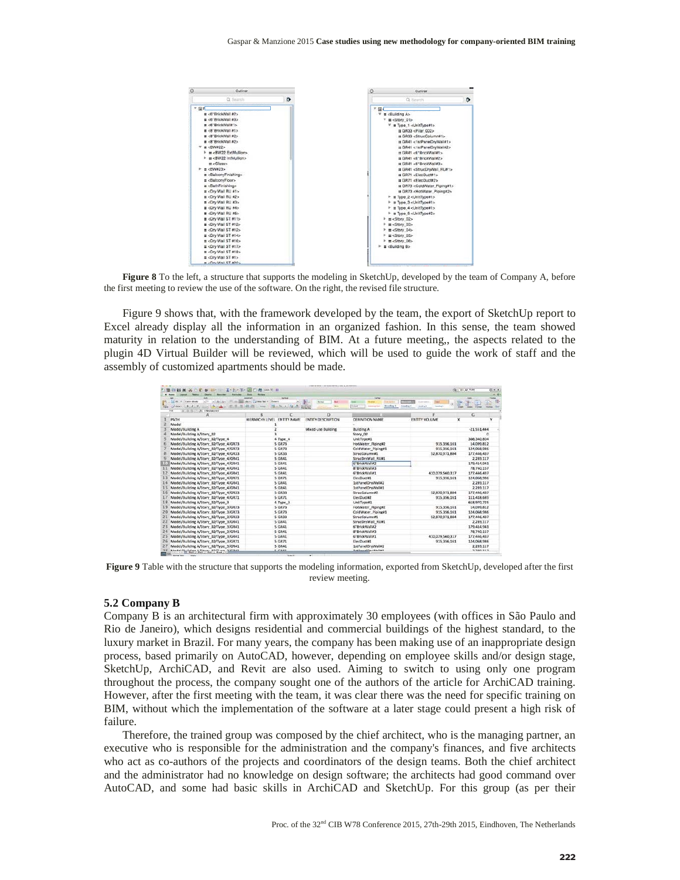

**Figure 8** To the left, a structure that supports the modeling in SketchUp, developed by the team of Company A, before the first meeting to review the use of the software. On the right, the revised file structure.

Figure 9 shows that, with the framework developed by the team, the export of SketchUp report to Excel already display all the information in an organized fashion. In this sense, the team showed maturity in relation to the understanding of BIM. At a future meeting,, the aspects related to the plugin 4D Virtual Builder will be reviewed, which will be used to guide the work of staff and the assembly of customized apartments should be made.

| $H =$<br>$\triangle$ is $\cdot$ . I $\cdot$ $\triangle$ $\cdot$ T $\cdot$ in | File 2004 H 19                                   |               |                            |                                                    |                                                          | <b>Q+1 DOI: AP TVPE</b>  | $0.4 +$ |
|------------------------------------------------------------------------------|--------------------------------------------------|---------------|----------------------------|----------------------------------------------------|----------------------------------------------------------|--------------------------|---------|
| <b>A</b> Human                                                               |                                                  | <b>NOW</b>    |                            | <b>Index</b>                                       |                                                          |                          |         |
| Collin River                                                                 | 1991 and 2000 labor 11 of their fact of 1 domest | Alc: Niv      | <b>Kal</b><br><b>Since</b> | <b><i><u>Gallangener</u></i></b>                   | -------                                                  | <b>Bill</b>              | 第一世     |
| →▲ 原理算装備<br>1.86<br>4.1.9<br>the Pink.<br>Of Children<br>Fars.               | <b>Beage</b>                                     | a             | <b>DHEM</b>                | <b>Alcohol 1</b><br>Endorse<br><b>Jednong Fred</b> | <b>Seattle E</b><br><b>Holling</b><br><b>Insurance</b> 6 |                          |         |
| 1 0 0 1 h thumist<br>F16                                                     |                                                  |               |                            |                                                    |                                                          |                          |         |
| А                                                                            | R.                                               |               | D                          |                                                    |                                                          | G                        |         |
| PATH                                                                         | HERARCHY LEVEL ENTITY NAME                       |               | <b>ENTITY DESCRIPTION</b>  | DEFINITION NAME                                    | <b>ENTITY VOLUME</b>                                     | $\bf{x}$                 | v       |
| Model                                                                        |                                                  |               |                            |                                                    |                                                          |                          |         |
| Model/Building A                                                             |                                                  |               | Mixed-use Bullding         | <b>Building A</b>                                  |                                                          | $-21.551.444$            |         |
| Model/Building A/Story 02                                                    |                                                  |               |                            | Story 02                                           |                                                          | n                        |         |
| Model/Building A/Story 02/Type 4                                             |                                                  | 4 Type 4      |                            | UnitType#1                                         |                                                          | 308.340.804              |         |
| Model/Building A/Story, 02/Type, 4/GR73.                                     |                                                  | 5 GR73        |                            | HotWater Pipine#2                                  | 915.356.161                                              | 14.099.812               |         |
| Model/Building A/Story 02/Type 4/GR73                                        |                                                  | 5 GR73        |                            | ColdWater Piping#1                                 | 915.356.161                                              | 124.068.986              |         |
| Model/Building A/Story 02/Type 4/GR33                                        |                                                  | <b>5 GR33</b> |                            | StrucColumn#1                                      | 52,870,971,884                                           | 177,446,437              |         |
| Model/Building A/Story 02/Type 4/GR41                                        |                                                  | 5 GR41        |                            | StrucDrvWall RU#1                                  |                                                          | 2,289,117                |         |
| $\mathbb{R}$ (1)<br>Model/Building A/Story 02/Type 4/GR41                    |                                                  | 5 GR41        |                            | 6 BrickWalley                                      |                                                          | 179.414.941              |         |
| Model/Building A/Story 02/Type 4/GR41                                        |                                                  | 5 GR41        |                            | 8"BrickWall#3                                      |                                                          | 78,740,157               |         |
| Model/Building A/Story 02/Type 4/GR41                                        |                                                  | 5 GR41        |                            | 6"BrickWall#1                                      | 410.079.560.317                                          | 177.446.437              |         |
| Model/Building A/Story 02/Type 4/GR71                                        |                                                  | 5 GR71        |                            | flecDuct#1                                         | 915.356.161                                              | 124.068.986              |         |
| Model/Building A/Story 02/Type 4/GR41                                        |                                                  | 5 GR41        |                            | 1stPanelDrvWall#2                                  |                                                          | 2,289,117                |         |
| Model/Building A/Story_02/Type_4/GR41                                        |                                                  | 5 GR41        |                            | 1stPanelDrvWall#1                                  |                                                          | 2,289,117                |         |
| Model/Building A/Story 02/Type 4/GR33<br>16                                  |                                                  | 5 GR33        |                            | StrucColumn#2                                      | 52,870,971,884                                           | 177,446,437              |         |
| Model/Building A/Story 02/Type 4/GR71                                        |                                                  | 5 GR71        |                            | ElecDuct#2                                         | 915,356,161                                              | 111,418,689              |         |
| Model/Building A/Story_02/Type_3                                             |                                                  | 4 Type 3      |                            | UnitType#1                                         |                                                          | 618.970.725              |         |
| Model/Building A/Story 02/Type 3/GR73                                        |                                                  | <b>5 GR73</b> |                            | HotWater Piping#2                                  | 915.356.161                                              | 14,099,812               |         |
| Model/Building A/Story 02/Type 3/GR73<br>20                                  |                                                  | 5 GR73        |                            | ColdWater Pipinuk1                                 | 915,356,161                                              | 124,068,986              |         |
| Model/Building A/Story_02/Type_3/GR33<br>21                                  |                                                  | 5 GR33        |                            | StrucColumn#1                                      | 52,870,971,884                                           | 177,446,437              |         |
| Model/Building A/Story_02/Type_3/GR41<br>22                                  |                                                  | 5 GR41        |                            | StrucDrvWall RU#1                                  |                                                          | 2,289,117                |         |
| Model/Building A/Story 02/Type 3/GR41<br>23                                  |                                                  | 5 GR41        |                            | 6"BrickWall#2                                      |                                                          | 179,414,941              |         |
| 24<br>Model/Building A/Story_02/Type_3/GR41                                  |                                                  | 5 GR41        |                            | 8"BrickWall#3                                      |                                                          | 78,740,157               |         |
| 25<br>Model/Building A/Story 02/Type 3/GR41                                  |                                                  | 5 GR41        |                            | 6"BrickWall#1                                      | 410.079.560.317                                          | 177,446,437              |         |
| Model/Building A/Story 02/Type 3/GR71<br>26                                  |                                                  | 5 GR71        |                            | ElecDuct#1                                         | 915.356.161                                              | 124.068.986              |         |
| Model/Building A/Story_02/Type_3/GR41                                        |                                                  | 5 GR41        |                            | 1stPanelDrvWall#2                                  |                                                          | 2,289,117                |         |
| Administration Administration Michael<br>-<br><b>COLOR</b>                   |                                                  | 1.7011        |                            | Latitude Months State                              |                                                          | <b>B. Paleh B. B. W.</b> |         |

**Figure 9** Table with the structure that supports the modeling information, exported from SketchUp, developed after the first review meeting.

## **5.2 Company B**

Company B is an architectural firm with approximately 30 employees (with offices in São Paulo and Rio de Janeiro), which designs residential and commercial buildings of the highest standard, to the luxury market in Brazil. For many years, the company has been making use of an inappropriate design process, based primarily on AutoCAD, however, depending on employee skills and/or design stage, SketchUp, ArchiCAD, and Revit are also used. Aiming to switch to using only one program throughout the process, the company sought one of the authors of the article for ArchiCAD training. However, after the first meeting with the team, it was clear there was the need for specific training on BIM, without which the implementation of the software at a later stage could present a high risk of failure.

Therefore, the trained group was composed by the chief architect, who is the managing partner, an executive who is responsible for the administration and the company's finances, and five architects who act as co-authors of the projects and coordinators of the design teams. Both the chief architect and the administrator had no knowledge on design software; the architects had good command over AutoCAD, and some had basic skills in ArchiCAD and SketchUp. For this group (as per their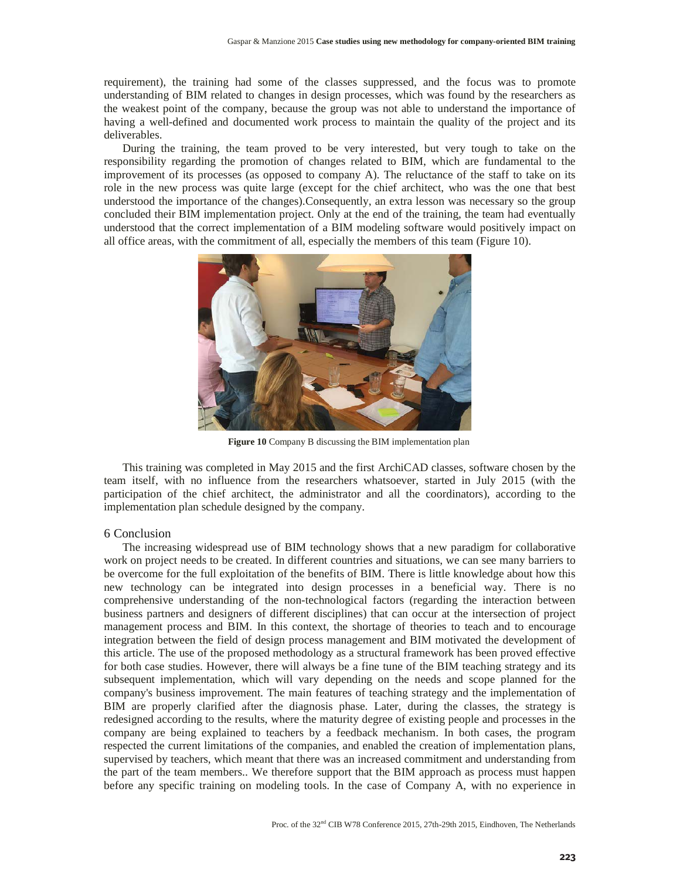requirement), the training had some of the classes suppressed, and the focus was to promote understanding of BIM related to changes in design processes, which was found by the researchers as the weakest point of the company, because the group was not able to understand the importance of having a well-defined and documented work process to maintain the quality of the project and its deliverables.

During the training, the team proved to be very interested, but very tough to take on the responsibility regarding the promotion of changes related to BIM, which are fundamental to the improvement of its processes (as opposed to company A). The reluctance of the staff to take on its role in the new process was quite large (except for the chief architect, who was the one that best understood the importance of the changes).Consequently, an extra lesson was necessary so the group concluded their BIM implementation project. Only at the end of the training, the team had eventually understood that the correct implementation of a BIM modeling software would positively impact on all office areas, with the commitment of all, especially the members of this team (Figure 10).



**Figure 10** Company B discussing the BIM implementation plan

This training was completed in May 2015 and the first ArchiCAD classes, software chosen by the team itself, with no influence from the researchers whatsoever, started in July 2015 (with the participation of the chief architect, the administrator and all the coordinators), according to the implementation plan schedule designed by the company.

## 6 Conclusion

The increasing widespread use of BIM technology shows that a new paradigm for collaborative work on project needs to be created. In different countries and situations, we can see many barriers to be overcome for the full exploitation of the benefits of BIM. There is little knowledge about how this new technology can be integrated into design processes in a beneficial way. There is no comprehensive understanding of the non-technological factors (regarding the interaction between business partners and designers of different disciplines) that can occur at the intersection of project management process and BIM. In this context, the shortage of theories to teach and to encourage integration between the field of design process management and BIM motivated the development of this article. The use of the proposed methodology as a structural framework has been proved effective for both case studies. However, there will always be a fine tune of the BIM teaching strategy and its subsequent implementation, which will vary depending on the needs and scope planned for the company's business improvement. The main features of teaching strategy and the implementation of BIM are properly clarified after the diagnosis phase. Later, during the classes, the strategy is redesigned according to the results, where the maturity degree of existing people and processes in the company are being explained to teachers by a feedback mechanism. In both cases, the program respected the current limitations of the companies, and enabled the creation of implementation plans, supervised by teachers, which meant that there was an increased commitment and understanding from the part of the team members.. We therefore support that the BIM approach as process must happen before any specific training on modeling tools. In the case of Company A, with no experience in